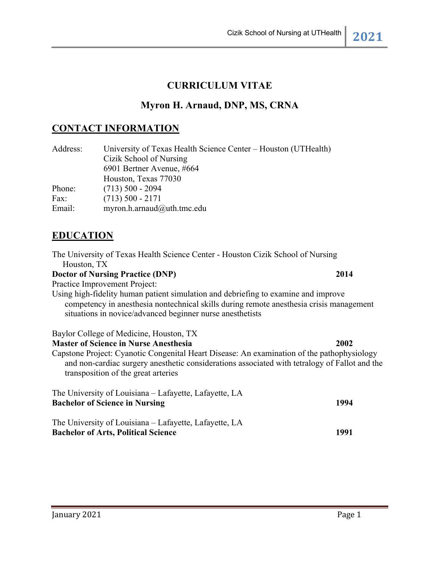### **CURRICULUM VITAE**

### **Myron H. Arnaud, DNP, MS, CRNA**

### **CONTACT INFORMATION**

| Address: | University of Texas Health Science Center – Houston (UTHealth) |
|----------|----------------------------------------------------------------|
|          | Cizik School of Nursing                                        |
|          | 6901 Bertner Avenue, #664                                      |
|          | Houston, Texas 77030                                           |
| Phone:   | $(713)$ 500 - 2094                                             |
| Fax:     | $(713)$ 500 - 2171                                             |
| Email:   | myron.h.arnaud@uth.tmc.edu                                     |

## **EDUCATION**

The University of Texas Health Science Center - Houston Cizik School of Nursing Houston, TX

#### **Doctor of Nursing Practice (DNP) 2014**

Practice Improvement Project:

Using high-fidelity human patient simulation and debriefing to examine and improve competency in anesthesia nontechnical skills during remote anesthesia crisis management situations in novice/advanced beginner nurse anesthetists

Baylor College of Medicine, Houston, TX

**Master of Science in Nurse Anesthesia 2002**

Capstone Project: Cyanotic Congenital Heart Disease: An examination of the pathophysiology and non-cardiac surgery anesthetic considerations associated with tetralogy of Fallot and the transposition of the great arteries

| The University of Louisiana – Lafayette, Lafayette, LA |      |
|--------------------------------------------------------|------|
| <b>Bachelor of Science in Nursing</b>                  | 1994 |
| The University of Louisiana – Lafayette, Lafayette, LA |      |
| <b>Bachelor of Arts, Political Science</b>             | 1991 |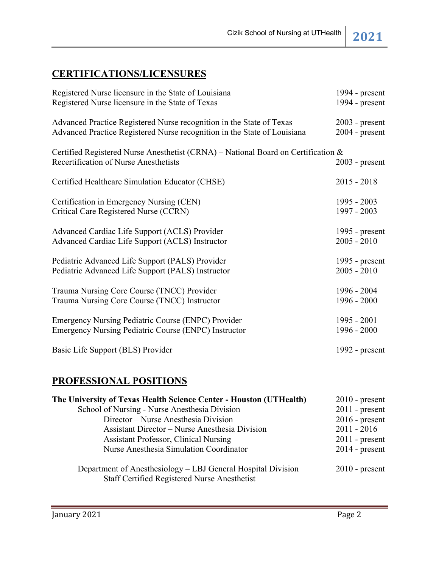# **CERTIFICATIONS/LICENSURES**

| Registered Nurse licensure in the State of Louisiana                                                                       | 1994 - $present$ |
|----------------------------------------------------------------------------------------------------------------------------|------------------|
| Registered Nurse licensure in the State of Texas                                                                           | 1994 - $present$ |
| Advanced Practice Registered Nurse recognition in the State of Texas                                                       | $2003$ - present |
| Advanced Practice Registered Nurse recognition in the State of Louisiana                                                   | $2004$ - present |
| Certified Registered Nurse Anesthetist (CRNA) - National Board on Certification &<br>Recertification of Nurse Anesthetists | $2003$ - present |
| Certified Healthcare Simulation Educator (CHSE)                                                                            | $2015 - 2018$    |
| Certification in Emergency Nursing (CEN)                                                                                   | $1995 - 2003$    |
| Critical Care Registered Nurse (CCRN)                                                                                      | 1997 - 2003      |
| Advanced Cardiac Life Support (ACLS) Provider                                                                              | 1995 - $present$ |
| Advanced Cardiac Life Support (ACLS) Instructor                                                                            | $2005 - 2010$    |
| Pediatric Advanced Life Support (PALS) Provider                                                                            | 1995 - $present$ |
| Pediatric Advanced Life Support (PALS) Instructor                                                                          | $2005 - 2010$    |
| Trauma Nursing Core Course (TNCC) Provider                                                                                 | 1996 - 2004      |
| Trauma Nursing Core Course (TNCC) Instructor                                                                               | 1996 - 2000      |
| Emergency Nursing Pediatric Course (ENPC) Provider                                                                         | $1995 - 2001$    |
| Emergency Nursing Pediatric Course (ENPC) Instructor                                                                       | 1996 - 2000      |
| Basic Life Support (BLS) Provider                                                                                          | 1992 - $present$ |

# **PROFESSIONAL POSITIONS**

| The University of Texas Health Science Center - Houston (UTHealth)                                           | $2010$ - present |
|--------------------------------------------------------------------------------------------------------------|------------------|
| School of Nursing - Nurse Anesthesia Division                                                                | $2011$ - present |
| Director – Nurse Anesthesia Division                                                                         | $2016$ - present |
| Assistant Director – Nurse Anesthesia Division                                                               | $2011 - 2016$    |
| <b>Assistant Professor, Clinical Nursing</b>                                                                 | $2011$ - present |
| Nurse Anesthesia Simulation Coordinator                                                                      | $2014$ - present |
| Department of Anesthesiology - LBJ General Hospital Division<br>Staff Certified Registered Nurse Anesthetist | $2010$ - present |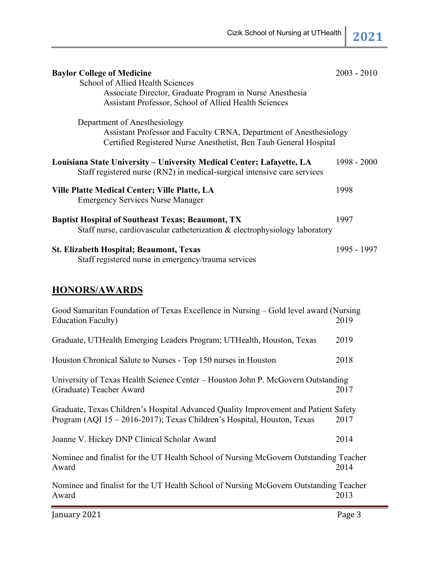| <b>Baylor College of Medicine</b>                                                     | $2003 - 2010$ |
|---------------------------------------------------------------------------------------|---------------|
| School of Allied Health Sciences                                                      |               |
| Associate Director, Graduate Program in Nurse Anesthesia                              |               |
| Assistant Professor, School of Allied Health Sciences                                 |               |
|                                                                                       |               |
| Department of Anesthesiology                                                          |               |
| Assistant Professor and Faculty CRNA, Department of Anesthesiology                    |               |
| Certified Registered Nurse Anesthetist, Ben Taub General Hospital                     |               |
| Louisiana State University - University Medical Center; Lafayette, LA                 | 1998 - 2000   |
| Staff registered nurse (RN2) in medical-surgical intensive care services              |               |
|                                                                                       |               |
| Ville Platte Medical Center; Ville Platte, LA                                         | 1998          |
| <b>Emergency Services Nurse Manager</b>                                               |               |
|                                                                                       |               |
| <b>Baptist Hospital of Southeast Texas; Beaumont, TX</b>                              | 1997          |
| Staff nurse, cardiovascular catheterization & electrophysiology laboratory            |               |
| <b>St. Elizabeth Hospital; Beaumont, Texas</b>                                        | 1995 - 1997   |
| Staff registered nurse in emergency/trauma services                                   |               |
|                                                                                       |               |
| <b>HONORS/AWARDS</b>                                                                  |               |
|                                                                                       |               |
| Good Samaritan Foundation of Texas Excellence in Nursing – Gold level award (Nursing  |               |
| <b>Education Faculty)</b>                                                             | 2019          |
|                                                                                       | 2019          |
| Graduate, UTHealth Emerging Leaders Program; UTHealth, Houston, Texas                 |               |
| Houston Chronical Salute to Nurses - Top 150 nurses in Houston                        | 2018          |
|                                                                                       |               |
| University of Texas Health Science Center - Houston John P. McGovern Outstanding      |               |
| (Graduate) Teacher Award                                                              | 2017          |
|                                                                                       |               |
| Graduate, Texas Children's Hospital Advanced Quality Improvement and Patient Safety   |               |
| Program (AQI 15-2016-2017); Texas Children's Hospital, Houston, Texas                 | 2017          |
| Joanne V. Hickey DNP Clinical Scholar Award                                           | 2014          |
|                                                                                       |               |
| Nominee and finalist for the UT Health School of Nursing McGovern Outstanding Teacher |               |

Nominee and finalist for the UT Health School of Nursing McGovern Outstanding Teacher Award 2013

Award 2014

January 2021 **Page 3**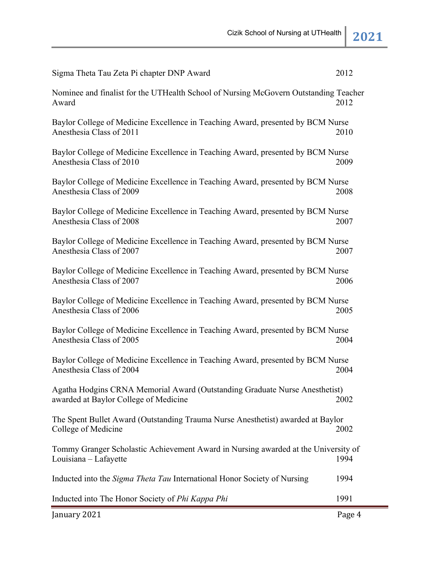| January 2021                                                                                                         | Page 4 |
|----------------------------------------------------------------------------------------------------------------------|--------|
| Inducted into The Honor Society of Phi Kappa Phi                                                                     | 1991   |
| Inducted into the Sigma Theta Tau International Honor Society of Nursing                                             | 1994   |
| Tommy Granger Scholastic Achievement Award in Nursing awarded at the University of<br>Louisiana – Lafayette          | 1994   |
| The Spent Bullet Award (Outstanding Trauma Nurse Anesthetist) awarded at Baylor<br>College of Medicine               | 2002   |
| Agatha Hodgins CRNA Memorial Award (Outstanding Graduate Nurse Anesthetist)<br>awarded at Baylor College of Medicine | 2002   |
| Baylor College of Medicine Excellence in Teaching Award, presented by BCM Nurse<br>Anesthesia Class of 2004          | 2004   |
| Baylor College of Medicine Excellence in Teaching Award, presented by BCM Nurse<br>Anesthesia Class of 2005          | 2004   |
| Baylor College of Medicine Excellence in Teaching Award, presented by BCM Nurse<br>Anesthesia Class of 2006          | 2005   |
| Baylor College of Medicine Excellence in Teaching Award, presented by BCM Nurse<br>Anesthesia Class of 2007          | 2006   |
| Baylor College of Medicine Excellence in Teaching Award, presented by BCM Nurse<br>Anesthesia Class of 2007          | 2007   |
| Baylor College of Medicine Excellence in Teaching Award, presented by BCM Nurse<br>Anesthesia Class of 2008          | 2007   |
| Baylor College of Medicine Excellence in Teaching Award, presented by BCM Nurse<br>Anesthesia Class of 2009          | 2008   |
| Baylor College of Medicine Excellence in Teaching Award, presented by BCM Nurse<br>Anesthesia Class of 2010          | 2009   |
| Baylor College of Medicine Excellence in Teaching Award, presented by BCM Nurse<br>Anesthesia Class of 2011          | 2010   |
| Nominee and finalist for the UTHealth School of Nursing McGovern Outstanding Teacher<br>Award                        | 2012   |
| Sigma Theta Tau Zeta Pi chapter DNP Award                                                                            | 2012   |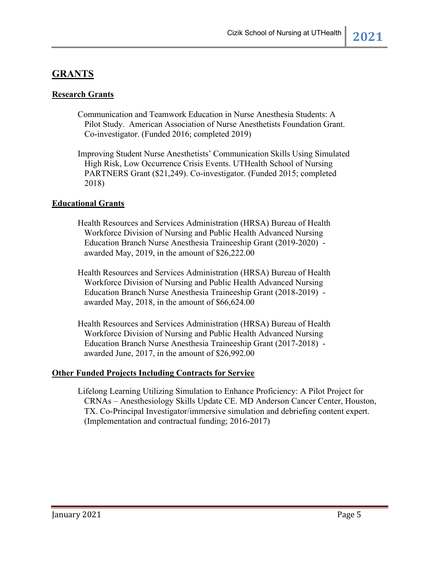## **GRANTS**

### **Research Grants**

- Communication and Teamwork Education in Nurse Anesthesia Students: A Pilot Study. American Association of Nurse Anesthetists Foundation Grant. Co-investigator. (Funded 2016; completed 2019)
- Improving Student Nurse Anesthetists' Communication Skills Using Simulated High Risk, Low Occurrence Crisis Events. UTHealth School of Nursing PARTNERS Grant (\$21,249). Co-investigator. (Funded 2015; completed 2018)

#### **Educational Grants**

- Health Resources and Services Administration (HRSA) Bureau of Health Workforce Division of Nursing and Public Health Advanced Nursing Education Branch Nurse Anesthesia Traineeship Grant (2019-2020) awarded May, 2019, in the amount of \$26,222.00
- Health Resources and Services Administration (HRSA) Bureau of Health Workforce Division of Nursing and Public Health Advanced Nursing Education Branch Nurse Anesthesia Traineeship Grant (2018-2019) awarded May, 2018, in the amount of \$66,624.00
- Health Resources and Services Administration (HRSA) Bureau of Health Workforce Division of Nursing and Public Health Advanced Nursing Education Branch Nurse Anesthesia Traineeship Grant (2017-2018) awarded June, 2017, in the amount of \$26,992.00

#### **Other Funded Projects Including Contracts for Service**

Lifelong Learning Utilizing Simulation to Enhance Proficiency: A Pilot Project for CRNAs – Anesthesiology Skills Update CE. MD Anderson Cancer Center, Houston, TX. Co-Principal Investigator/immersive simulation and debriefing content expert. (Implementation and contractual funding; 2016-2017)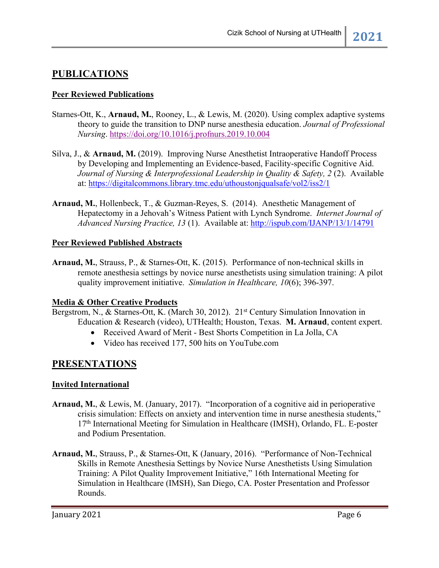## **PUBLICATIONS**

### **Peer Reviewed Publications**

- Starnes-Ott, K., **Arnaud, M.**, Rooney, L., & Lewis, M. (2020). Using complex adaptive systems theory to guide the transition to DNP nurse anesthesia education. *Journal of Professional Nursing*. https://doi.org/10.1016/j.profnurs.2019.10.004
- Silva, J., & **Arnaud, M.** (2019). Improving Nurse Anesthetist Intraoperative Handoff Process by Developing and Implementing an Evidence-based, Facility-specific Cognitive Aid. *Journal of Nursing & Interprofessional Leadership in Quality & Safety, 2* (2). Available at: https://digitalcommons.library.tmc.edu/uthoustonjqualsafe/vol2/iss2/1
- **Arnaud, M.**, Hollenbeck, T., & Guzman-Reyes, S. (2014).Anesthetic Management of Hepatectomy in a Jehovah's Witness Patient with Lynch Syndrome. *Internet Journal of Advanced Nursing Practice, 13* (1). Available at: http://ispub.com/IJANP/13/1/14791

#### **Peer Reviewed Published Abstracts**

**Arnaud, M.**, Strauss, P., & Starnes-Ott, K. (2015). Performance of non-technical skills in remote anesthesia settings by novice nurse anesthetists using simulation training: A pilot quality improvement initiative. *Simulation in Healthcare, 10*(6); 396-397.

#### **Media & Other Creative Products**

Bergstrom, N., & Starnes-Ott, K. (March 30, 2012). 21<sup>st</sup> Century Simulation Innovation in Education & Research (video), UTHealth; Houston, Texas. **M. Arnaud**, content expert.

- Received Award of Merit Best Shorts Competition in La Jolla, CA
- Video has received 177, 500 hits on YouTube.com

### **PRESENTATIONS**

#### **Invited International**

- **Arnaud, M.**, & Lewis, M. (January, 2017). "Incorporation of a cognitive aid in perioperative crisis simulation: Effects on anxiety and intervention time in nurse anesthesia students,"  $17<sup>th</sup>$  International Meeting for Simulation in Healthcare (IMSH), Orlando, FL. E-poster and Podium Presentation.
- **Arnaud, M.**, Strauss, P., & Starnes-Ott, K (January, 2016). "Performance of Non-Technical Skills in Remote Anesthesia Settings by Novice Nurse Anesthetists Using Simulation Training: A Pilot Quality Improvement Initiative," 16th International Meeting for Simulation in Healthcare (IMSH), San Diego, CA. Poster Presentation and Professor Rounds.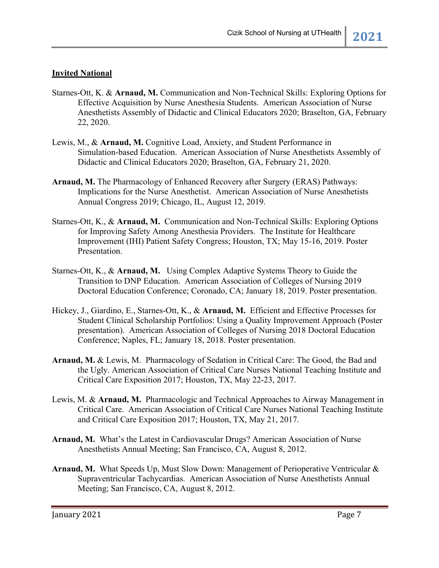### **Invited National**

- Starnes-Ott, K. & **Arnaud, M.** Communication and Non-Technical Skills: Exploring Options for Effective Acquisition by Nurse Anesthesia Students. American Association of Nurse Anesthetists Assembly of Didactic and Clinical Educators 2020; Braselton, GA, February 22, 2020.
- Lewis, M., & **Arnaud, M.** Cognitive Load, Anxiety, and Student Performance in Simulation-based Education. American Association of Nurse Anesthetists Assembly of Didactic and Clinical Educators 2020; Braselton, GA, February 21, 2020.
- **Arnaud, M.** The Pharmacology of Enhanced Recovery after Surgery (ERAS) Pathways: Implications for the Nurse Anesthetist. American Association of Nurse Anesthetists Annual Congress 2019; Chicago, IL, August 12, 2019.
- Starnes-Ott, K., & **Arnaud, M.** Communication and Non-Technical Skills: Exploring Options for Improving Safety Among Anesthesia Providers. The Institute for Healthcare Improvement (IHI) Patient Safety Congress; Houston, TX; May 15-16, 2019. Poster Presentation.
- Starnes-Ott, K., & **Arnaud, M.** Using Complex Adaptive Systems Theory to Guide the Transition to DNP Education. American Association of Colleges of Nursing 2019 Doctoral Education Conference; Coronado, CA; January 18, 2019. Poster presentation.
- Hickey, J., Giardino, E., Starnes-Ott, K., & **Arnaud, M.** Efficient and Effective Processes for Student Clinical Scholarship Portfolios: Using a Quality Improvement Approach (Poster presentation). American Association of Colleges of Nursing 2018 Doctoral Education Conference; Naples, FL; January 18, 2018. Poster presentation.
- **Arnaud, M.** & Lewis, M. Pharmacology of Sedation in Critical Care: The Good, the Bad and the Ugly. American Association of Critical Care Nurses National Teaching Institute and Critical Care Exposition 2017; Houston, TX, May 22-23, 2017.
- Lewis, M. & **Arnaud, M.** Pharmacologic and Technical Approaches to Airway Management in Critical Care. American Association of Critical Care Nurses National Teaching Institute and Critical Care Exposition 2017; Houston, TX, May 21, 2017.
- **Arnaud, M.** What's the Latest in Cardiovascular Drugs? American Association of Nurse Anesthetists Annual Meeting; San Francisco, CA, August 8, 2012.
- **Arnaud, M.** What Speeds Up, Must Slow Down: Management of Perioperative Ventricular & Supraventricular Tachycardias. American Association of Nurse Anesthetists Annual Meeting; San Francisco, CA, August 8, 2012.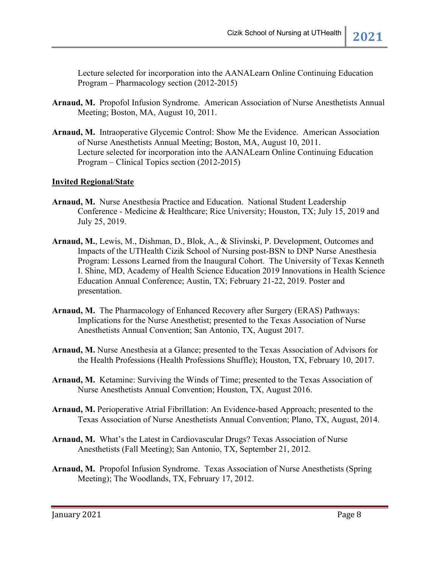Lecture selected for incorporation into the AANALearn Online Continuing Education Program – Pharmacology section (2012-2015)

- **Arnaud, M.** Propofol Infusion Syndrome. American Association of Nurse Anesthetists Annual Meeting; Boston, MA, August 10, 2011.
- **Arnaud, M.** Intraoperative Glycemic Control: Show Me the Evidence. American Association of Nurse Anesthetists Annual Meeting; Boston, MA, August 10, 2011. Lecture selected for incorporation into the AANALearn Online Continuing Education Program – Clinical Topics section (2012-2015)

#### **Invited Regional/State**

- **Arnaud, M.** Nurse Anesthesia Practice and Education. National Student Leadership Conference - Medicine & Healthcare; Rice University; Houston, TX; July 15, 2019 and July 25, 2019.
- **Arnaud, M.**, Lewis, M., Dishman, D., Blok, A., & Slivinski, P. Development, Outcomes and Impacts of the UTHealth Cizik School of Nursing post-BSN to DNP Nurse Anesthesia Program: Lessons Learned from the Inaugural Cohort. The University of Texas Kenneth I. Shine, MD, Academy of Health Science Education 2019 Innovations in Health Science Education Annual Conference; Austin, TX; February 21-22, 2019. Poster and presentation.
- **Arnaud, M.** The Pharmacology of Enhanced Recovery after Surgery (ERAS) Pathways: Implications for the Nurse Anesthetist; presented to the Texas Association of Nurse Anesthetists Annual Convention; San Antonio, TX, August 2017.
- **Arnaud, M.** Nurse Anesthesia at a Glance; presented to the Texas Association of Advisors for the Health Professions (Health Professions Shuffle); Houston, TX, February 10, 2017.
- **Arnaud, M.** Ketamine: Surviving the Winds of Time; presented to the Texas Association of Nurse Anesthetists Annual Convention; Houston, TX, August 2016.
- **Arnaud, M.** Perioperative Atrial Fibrillation: An Evidence-based Approach; presented to the Texas Association of Nurse Anesthetists Annual Convention; Plano, TX, August, 2014.
- **Arnaud, M.** What's the Latest in Cardiovascular Drugs? Texas Association of Nurse Anesthetists (Fall Meeting); San Antonio, TX, September 21, 2012.
- **Arnaud, M.** Propofol Infusion Syndrome. Texas Association of Nurse Anesthetists (Spring Meeting); The Woodlands, TX, February 17, 2012.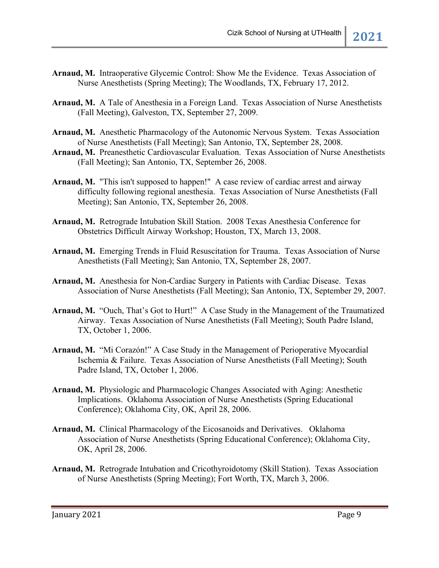- **Arnaud, M.** Intraoperative Glycemic Control: Show Me the Evidence. Texas Association of Nurse Anesthetists (Spring Meeting); The Woodlands, TX, February 17, 2012.
- **Arnaud, M.** A Tale of Anesthesia in a Foreign Land. Texas Association of Nurse Anesthetists (Fall Meeting), Galveston, TX, September 27, 2009.
- **Arnaud, M.** Anesthetic Pharmacology of the Autonomic Nervous System. Texas Association of Nurse Anesthetists (Fall Meeting); San Antonio, TX, September 28, 2008.
- **Arnaud, M.** Preanesthetic Cardiovascular Evaluation. Texas Association of Nurse Anesthetists (Fall Meeting); San Antonio, TX, September 26, 2008.
- **Arnaud, M.** "This isn't supposed to happen!" A case review of cardiac arrest and airway difficulty following regional anesthesia. Texas Association of Nurse Anesthetists (Fall Meeting); San Antonio, TX, September 26, 2008.
- **Arnaud, M.** Retrograde Intubation Skill Station. 2008 Texas Anesthesia Conference for Obstetrics Difficult Airway Workshop; Houston, TX, March 13, 2008.
- **Arnaud, M.** Emerging Trends in Fluid Resuscitation for Trauma. Texas Association of Nurse Anesthetists (Fall Meeting); San Antonio, TX, September 28, 2007.
- **Arnaud, M.** Anesthesia for Non-Cardiac Surgery in Patients with Cardiac Disease. Texas Association of Nurse Anesthetists (Fall Meeting); San Antonio, TX, September 29, 2007.
- **Arnaud, M.** "Ouch, That's Got to Hurt!" A Case Study in the Management of the Traumatized Airway. Texas Association of Nurse Anesthetists (Fall Meeting); South Padre Island, TX, October 1, 2006.
- **Arnaud, M.** "Mi Corazón!" A Case Study in the Management of Perioperative Myocardial Ischemia & Failure. Texas Association of Nurse Anesthetists (Fall Meeting); South Padre Island, TX, October 1, 2006.
- **Arnaud, M.** Physiologic and Pharmacologic Changes Associated with Aging: Anesthetic Implications. Oklahoma Association of Nurse Anesthetists (Spring Educational Conference); Oklahoma City, OK, April 28, 2006.
- **Arnaud, M.** Clinical Pharmacology of the Eicosanoids and Derivatives. Oklahoma Association of Nurse Anesthetists (Spring Educational Conference); Oklahoma City, OK, April 28, 2006.
- **Arnaud, M.** Retrograde Intubation and Cricothyroidotomy (Skill Station). Texas Association of Nurse Anesthetists (Spring Meeting); Fort Worth, TX, March 3, 2006.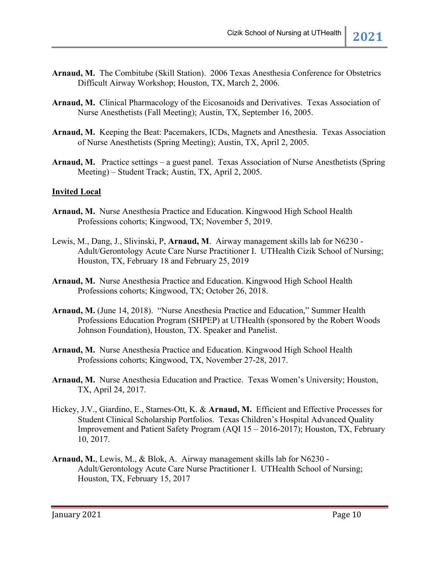- **Arnaud, M.** The Combitube (Skill Station). 2006 Texas Anesthesia Conference for Obstetrics Difficult Airway Workshop; Houston, TX, March 2, 2006.
- **Arnaud, M.** Clinical Pharmacology of the Eicosanoids and Derivatives. Texas Association of Nurse Anesthetists (Fall Meeting); Austin, TX, September 16, 2005.
- **Arnaud, M.** Keeping the Beat: Pacemakers, ICDs, Magnets and Anesthesia. Texas Association of Nurse Anesthetists (Spring Meeting); Austin, TX, April 2, 2005.
- **Arnaud, M.** Practice settings a guest panel. Texas Association of Nurse Anesthetists (Spring Meeting) – Student Track; Austin, TX, April 2, 2005.

#### **Invited Local**

- **Arnaud, M.** Nurse Anesthesia Practice and Education. Kingwood High School Health Professions cohorts; Kingwood, TX; November 5, 2019.
- Lewis, M., Dang, J., Slivinski, P, **Arnaud, M**. Airway management skills lab for N6230 Adult/Gerontology Acute Care Nurse Practitioner I. UTHealth Cizik School of Nursing; Houston, TX, February 18 and February 25, 2019
- **Arnaud, M.** Nurse Anesthesia Practice and Education. Kingwood High School Health Professions cohorts; Kingwood, TX; October 26, 2018.
- **Arnaud, M.** (June 14, 2018). "Nurse Anesthesia Practice and Education," Summer Health Professions Education Program (SHPEP) at UTHealth (sponsored by the Robert Woods Johnson Foundation), Houston, TX. Speaker and Panelist.
- **Arnaud, M.** Nurse Anesthesia Practice and Education. Kingwood High School Health Professions cohorts; Kingwood, TX, November 27-28, 2017.
- **Arnaud, M.** Nurse Anesthesia Education and Practice. Texas Women's University; Houston, TX, April 24, 2017.
- Hickey, J.V., Giardino, E., Starnes-Ott, K. & **Arnaud, M.** Efficient and Effective Processes for Student Clinical Scholarship Portfolios. Texas Children's Hospital Advanced Quality Improvement and Patient Safety Program (AQI 15 – 2016-2017); Houston, TX, February 10, 2017.
- **Arnaud, M.**, Lewis, M., & Blok, A. Airway management skills lab for N6230 Adult/Gerontology Acute Care Nurse Practitioner I. UTHealth School of Nursing; Houston, TX, February 15, 2017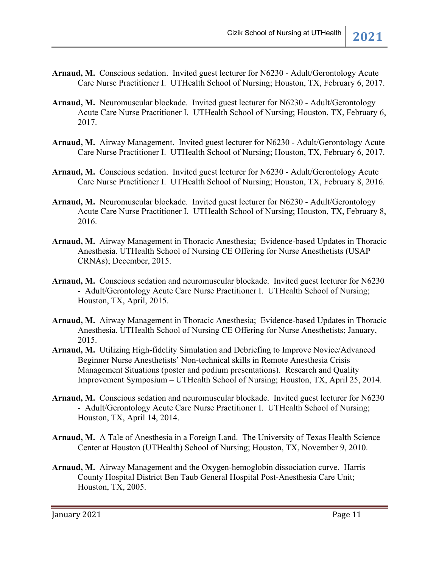- Arnaud, M. Conscious sedation. Invited guest lecturer for N6230 Adult/Gerontology Acute Care Nurse Practitioner I. UTHealth School of Nursing; Houston, TX, February 6, 2017.
- **Arnaud, M.** Neuromuscular blockade. Invited guest lecturer for N6230 Adult/Gerontology Acute Care Nurse Practitioner I. UTHealth School of Nursing; Houston, TX, February 6, 2017.
- **Arnaud, M.** Airway Management. Invited guest lecturer for N6230 Adult/Gerontology Acute Care Nurse Practitioner I. UTHealth School of Nursing; Houston, TX, February 6, 2017.
- Arnaud, M. Conscious sedation. Invited guest lecturer for N6230 Adult/Gerontology Acute Care Nurse Practitioner I. UTHealth School of Nursing; Houston, TX, February 8, 2016.
- **Arnaud, M.** Neuromuscular blockade. Invited guest lecturer for N6230 Adult/Gerontology Acute Care Nurse Practitioner I. UTHealth School of Nursing; Houston, TX, February 8, 2016.
- **Arnaud, M.** Airway Management in Thoracic Anesthesia; Evidence-based Updates in Thoracic Anesthesia. UTHealth School of Nursing CE Offering for Nurse Anesthetists (USAP CRNAs); December, 2015.
- **Arnaud, M.** Conscious sedation and neuromuscular blockade. Invited guest lecturer for N6230 - Adult/Gerontology Acute Care Nurse Practitioner I. UTHealth School of Nursing; Houston, TX, April, 2015.
- **Arnaud, M.** Airway Management in Thoracic Anesthesia; Evidence-based Updates in Thoracic Anesthesia. UTHealth School of Nursing CE Offering for Nurse Anesthetists; January, 2015.
- **Arnaud, M.** Utilizing High-fidelity Simulation and Debriefing to Improve Novice/Advanced Beginner Nurse Anesthetists' Non-technical skills in Remote Anesthesia Crisis Management Situations (poster and podium presentations). Research and Quality Improvement Symposium – UTHealth School of Nursing; Houston, TX, April 25, 2014.
- **Arnaud, M.** Conscious sedation and neuromuscular blockade. Invited guest lecturer for N6230 - Adult/Gerontology Acute Care Nurse Practitioner I. UTHealth School of Nursing; Houston, TX, April 14, 2014.
- **Arnaud, M.** A Tale of Anesthesia in a Foreign Land. The University of Texas Health Science Center at Houston (UTHealth) School of Nursing; Houston, TX, November 9, 2010.
- **Arnaud, M.** Airway Management and the Oxygen-hemoglobin dissociation curve. Harris County Hospital District Ben Taub General Hospital Post-Anesthesia Care Unit; Houston, TX, 2005.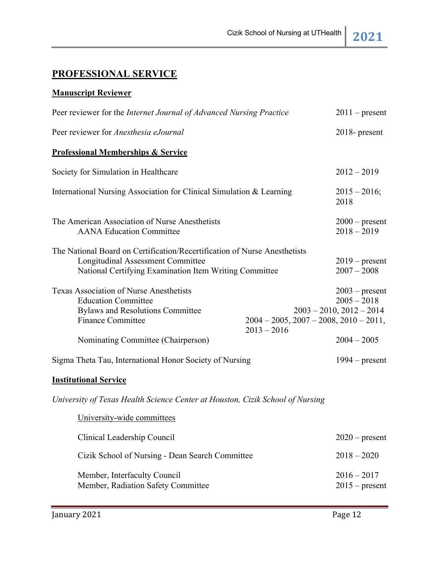# **PROFESSIONAL SERVICE**

### **Manuscript Reviewer**

| Peer reviewer for the Internet Journal of Advanced Nursing Practice                                                                                                             |                                                                  | $2011$ – present                                                   |
|---------------------------------------------------------------------------------------------------------------------------------------------------------------------------------|------------------------------------------------------------------|--------------------------------------------------------------------|
| Peer reviewer for Anesthesia eJournal                                                                                                                                           |                                                                  | $2018$ - present                                                   |
| <b>Professional Memberships &amp; Service</b>                                                                                                                                   |                                                                  |                                                                    |
| Society for Simulation in Healthcare                                                                                                                                            |                                                                  | $2012 - 2019$                                                      |
| International Nursing Association for Clinical Simulation & Learning                                                                                                            |                                                                  | $2015 - 2016;$<br>2018                                             |
| The American Association of Nurse Anesthetists<br><b>AANA Education Committee</b>                                                                                               |                                                                  | $2000$ – present<br>$2018 - 2019$                                  |
| The National Board on Certification/Recertification of Nurse Anesthetists<br><b>Longitudinal Assessment Committee</b><br>National Certifying Examination Item Writing Committee |                                                                  | $2019$ – present<br>$2007 - 2008$                                  |
| Texas Association of Nurse Anesthetists<br><b>Education Committee</b><br><b>Bylaws and Resolutions Committee</b><br><b>Finance Committee</b>                                    | $2004 - 2005$ , $2007 - 2008$ , $2010 - 2011$ ,<br>$2013 - 2016$ | $2003$ – present<br>$2005 - 2018$<br>$2003 - 2010$ , $2012 - 2014$ |
| Nominating Committee (Chairperson)                                                                                                                                              |                                                                  | $2004 - 2005$                                                      |
| Sigma Theta Tau, International Honor Society of Nursing                                                                                                                         |                                                                  | $1994$ – present                                                   |
| <b>Institutional Service</b>                                                                                                                                                    |                                                                  |                                                                    |
| University of Texas Health Science Center at Houston, Cizik School of Nursing                                                                                                   |                                                                  |                                                                    |
| University-wide committees                                                                                                                                                      |                                                                  |                                                                    |
| Clinical Leadership Council                                                                                                                                                     |                                                                  | $2020$ – present                                                   |
| Cizik School of Nursing - Dean Search Committee                                                                                                                                 |                                                                  | $2018 - 2020$                                                      |
| Member, Interfaculty Council<br>Member, Radiation Safety Committee                                                                                                              |                                                                  | $2016 - 2017$<br>$2015$ – present                                  |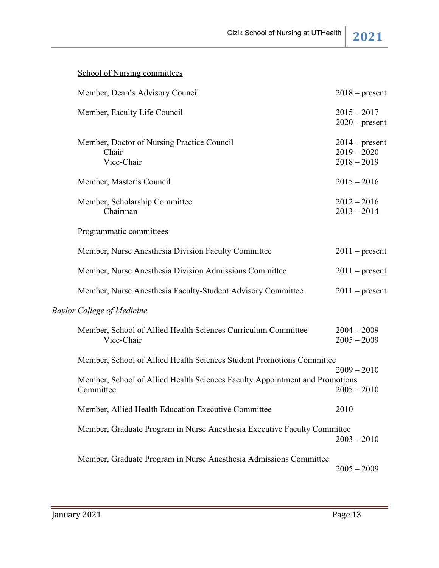| <b>School of Nursing committees</b>                                                      |                                |                  |
|------------------------------------------------------------------------------------------|--------------------------------|------------------|
| Member, Dean's Advisory Council                                                          |                                | $2018$ – present |
| Member, Faculty Life Council                                                             | $2015 - 2017$                  | $2020$ – present |
| Member, Doctor of Nursing Practice Council<br>Chair<br>Vice-Chair                        | $2019 - 2020$<br>$2018 - 2019$ | $2014$ – present |
| Member, Master's Council                                                                 | $2015 - 2016$                  |                  |
| Member, Scholarship Committee<br>Chairman                                                | $2012 - 2016$<br>$2013 - 2014$ |                  |
| Programmatic committees                                                                  |                                |                  |
| Member, Nurse Anesthesia Division Faculty Committee                                      |                                | $2011$ – present |
| Member, Nurse Anesthesia Division Admissions Committee                                   |                                | $2011$ – present |
| Member, Nurse Anesthesia Faculty-Student Advisory Committee                              |                                | $2011$ – present |
| <b>Baylor College of Medicine</b>                                                        |                                |                  |
| Member, School of Allied Health Sciences Curriculum Committee<br>Vice-Chair              | $2004 - 2009$<br>$2005 - 2009$ |                  |
| Member, School of Allied Health Sciences Student Promotions Committee                    |                                | $2009 - 2010$    |
| Member, School of Allied Health Sciences Faculty Appointment and Promotions<br>Committee | $2005 - 2010$                  |                  |
| Member, Allied Health Education Executive Committee                                      | 2010                           |                  |
| Member, Graduate Program in Nurse Anesthesia Executive Faculty Committee                 | $2003 - 2010$                  |                  |
| Member, Graduate Program in Nurse Anesthesia Admissions Committee                        | $2005 - 2009$                  |                  |